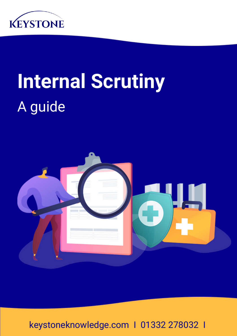

# **Internal Scrutiny** A guide



keystoneknowledge.com I 01332 278032 I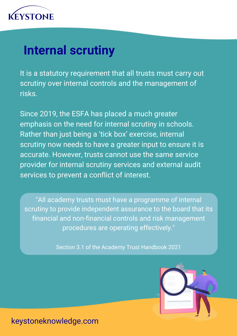

#### **Internal scrutiny**

It is a statutory requirement that all trusts must carry out scrutiny over internal controls and the management of risks.

Since 2019, the ESFA has placed a much greater emphasis on the need for internal scrutiny in schools. Rather than just being a 'tick box' exercise, internal scrutiny now needs to have a greater input to ensure it is accurate. However, trusts cannot use the same service provider for internal scrutiny services and external audit services to prevent a conflict of interest.

"All academy trusts must have a programme of internal scrutiny to provide independent assurance to the board that its financial and non-financial controls and risk management procedures are operating effectively."

Section 3.1 of the Academy Trust Handbook 2021

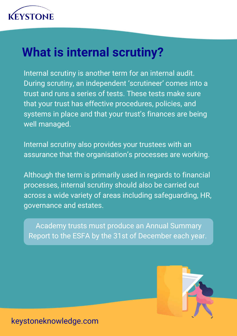

#### **What is internal scrutiny?**

Internal scrutiny is another term for an internal audit. During scrutiny, an independent 'scrutineer' comes into a trust and runs a series of tests. These tests make sure that your trust has effective procedures, policies, and systems in place and that your trust's finances are being well managed.

Internal scrutiny also provides your trustees with an assurance that the organisation's processes are working.

Although the term is primarily used in regards to financial processes, internal scrutiny should also be carried out across a wide variety of areas including safeguarding, HR, governance and estates.

Academy trusts must produce an Annual Summary Report to the ESFA by the 31st of December each year.

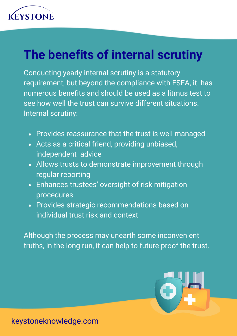

### **The benefits of internal scrutiny**

Conducting yearly internal scrutiny is a statutory requirement, but beyond the compliance with ESFA, it has numerous benefits and should be used as a litmus test to see how well the trust can survive different situations. Internal scrutiny:

- Provides reassurance that the trust is well managed
- Acts as a critical friend, providing unbiased, independent advice
- Allows trusts to demonstrate improvement through regular reporting
- Enhances trustees' oversight of risk mitigation procedures
- Provides strategic recommendations based on individual trust risk and context

Although the process may unearth some inconvenient truths, in the long run, it can help to future proof the trust.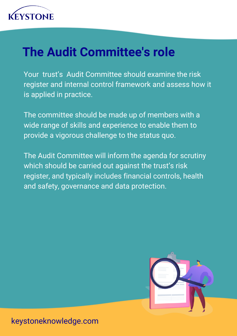

### **The Audit Committee's role**

Your trust's Audit Committee should examine the risk register and internal control framework and assess how it is applied in practice.

The committee should be made up of members with a wide range of skills and experience to enable them to provide a vigorous challenge to the status quo.

The Audit Committee will inform the agenda for scrutiny which should be carried out against the trust's risk register, and typically includes financial controls, health and safety, governance and data protection.

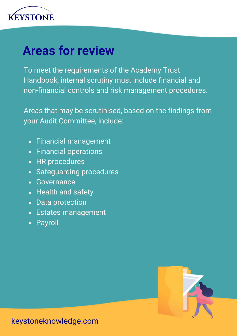

#### **Areas for review**

To meet the requirements of the Academy Trust Handbook, internal scrutiny must include financial and non-financial controls and risk management procedures.

Areas that may be scrutinised, based on the findings from your Audit Committee, include:

- Financial management
- Financial operations
- HR procedures
- Safeguarding procedures
- Governance
- Health and safety
- Data protection
- Estates management
- Payroll

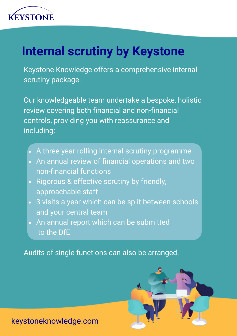

## **Internal scrutiny by Keystone**

Keystone Knowledge offers a comprehensive internal scrutiny package.

Our knowledgeable team undertake a bespoke, holistic review covering both financial and non-financial controls, providing you with reassurance and including:

- A three year rolling internal scrutiny programme
- An annual review of financial operations and two non-financial functions
- Rigorous & effective scrutiny by friendly, approachable staff
- 3 visits a year which can be split between schools and your central team
- An annual report which can be submitted to the DfE

Audits of single functions can also be arranged.